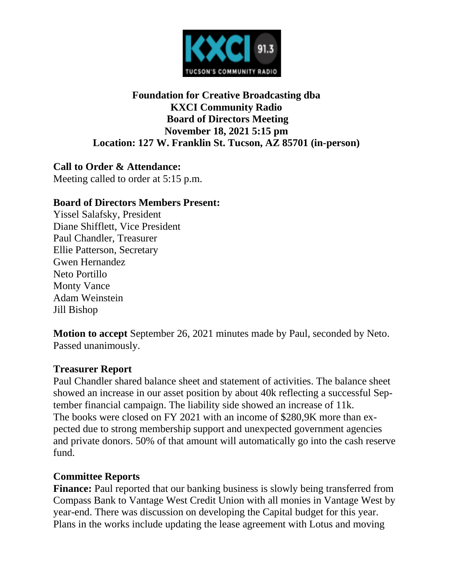

### **Foundation for Creative Broadcasting dba KXCI Community Radio Board of Directors Meeting November 18, 2021 5:15 pm Location: 127 W. Franklin St. Tucson, AZ 85701 (in-person)**

**Call to Order & Attendance:** Meeting called to order at 5:15 p.m.

#### **Board of Directors Members Present:**

Yissel Salafsky, President Diane Shifflett, Vice President Paul Chandler, Treasurer Ellie Patterson, Secretary Gwen Hernandez Neto Portillo Monty Vance Adam Weinstein Jill Bishop

**Motion to accept** September 26, 2021 minutes made by Paul, seconded by Neto. Passed unanimously.

#### **Treasurer Report**

Paul Chandler shared balance sheet and statement of activities. The balance sheet showed an increase in our asset position by about 40k reflecting a successful September financial campaign. The liability side showed an increase of 11k. The books were closed on FY 2021 with an income of \$280,9K more than expected due to strong membership support and unexpected government agencies and private donors. 50% of that amount will automatically go into the cash reserve fund.

#### **Committee Reports**

**Finance:** Paul reported that our banking business is slowly being transferred from Compass Bank to Vantage West Credit Union with all monies in Vantage West by year-end. There was discussion on developing the Capital budget for this year. Plans in the works include updating the lease agreement with Lotus and moving